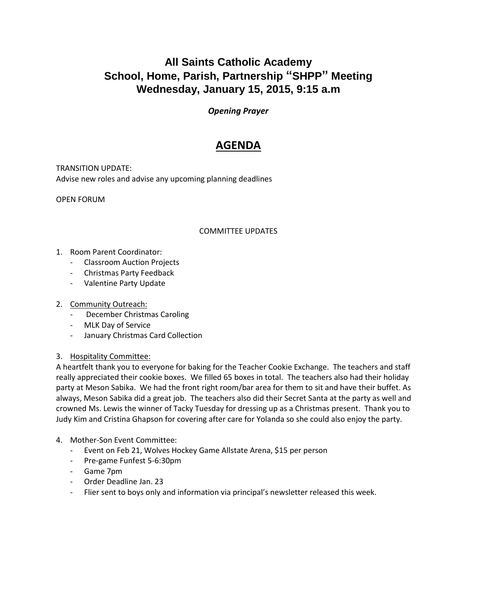# **All Saints Catholic Academy School, Home, Parish, Partnership "SHPP" Meeting Wednesday, January 15, 2015, 9:15 a.m**

### *Opening Prayer*

## **AGENDA**

TRANSITION UPDATE: Advise new roles and advise any upcoming planning deadlines

OPEN FORUM

#### COMMITTEE UPDATES

- 1. Room Parent Coordinator:
	- Classroom Auction Projects
	- Christmas Party Feedback
	- Valentine Party Update

#### 2. Community Outreach:

- December Christmas Caroling
- MLK Day of Service
- January Christmas Card Collection
- 3. Hospitality Committee:

A heartfelt thank you to everyone for baking for the Teacher Cookie Exchange. The teachers and staff really appreciated their cookie boxes. We filled 65 boxes in total. The teachers also had their holiday party at Meson Sabika. We had the front right room/bar area for them to sit and have their buffet. As always, Meson Sabika did a great job. The teachers also did their Secret Santa at the party as well and crowned Ms. Lewis the winner of Tacky Tuesday for dressing up as a Christmas present. Thank you to Judy Kim and Cristina Ghapson for covering after care for Yolanda so she could also enjoy the party.

- 4. Mother-Son Event Committee:
	- Event on Feb 21, Wolves Hockey Game Allstate Arena, \$15 per person
	- Pre-game Funfest 5-6:30pm
	- Game 7pm
	- Order Deadline Jan. 23
	- Flier sent to boys only and information via principal's newsletter released this week.